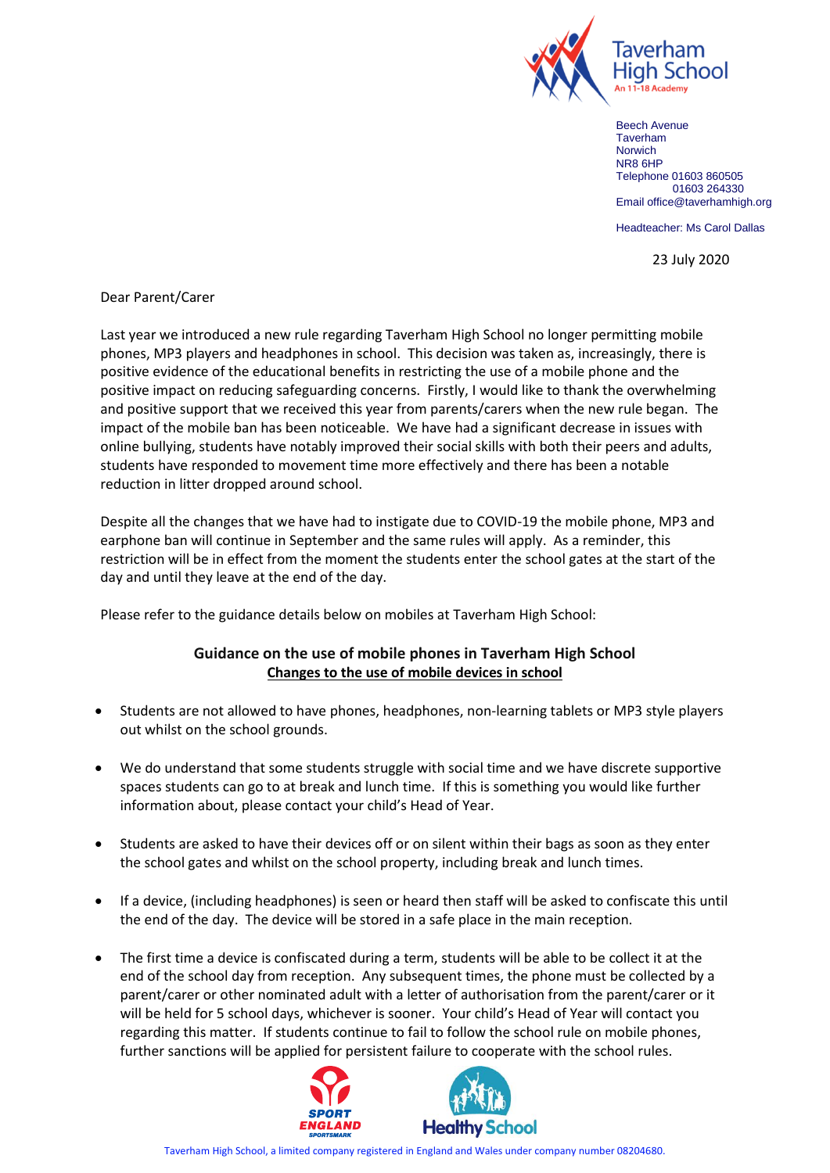

Beech Avenue Taverham **Norwich** NR8 6HP Telephone 01603 860505 01603 264330 Email office@taverhamhigh.org

Headteacher: Ms Carol Dallas

23 July 2020

Dear Parent/Carer

Last year we introduced a new rule regarding Taverham High School no longer permitting mobile phones, MP3 players and headphones in school. This decision was taken as, increasingly, there is positive evidence of the educational benefits in restricting the use of a mobile phone and the positive impact on reducing safeguarding concerns. Firstly, I would like to thank the overwhelming and positive support that we received this year from parents/carers when the new rule began. The impact of the mobile ban has been noticeable. We have had a significant decrease in issues with online bullying, students have notably improved their social skills with both their peers and adults, students have responded to movement time more effectively and there has been a notable reduction in litter dropped around school.

Despite all the changes that we have had to instigate due to COVID-19 the mobile phone, MP3 and earphone ban will continue in September and the same rules will apply. As a reminder, this restriction will be in effect from the moment the students enter the school gates at the start of the day and until they leave at the end of the day.

Please refer to the guidance details below on mobiles at Taverham High School:

## **Guidance on the use of mobile phones in Taverham High School Changes to the use of mobile devices in school**

- Students are not allowed to have phones, headphones, non-learning tablets or MP3 style players out whilst on the school grounds.
- We do understand that some students struggle with social time and we have discrete supportive spaces students can go to at break and lunch time. If this is something you would like further information about, please contact your child's Head of Year.
- Students are asked to have their devices off or on silent within their bags as soon as they enter the school gates and whilst on the school property, including break and lunch times.
- If a device, (including headphones) is seen or heard then staff will be asked to confiscate this until the end of the day. The device will be stored in a safe place in the main reception.
- The first time a device is confiscated during a term, students will be able to be collect it at the end of the school day from reception. Any subsequent times, the phone must be collected by a parent/carer or other nominated adult with a letter of authorisation from the parent/carer or it will be held for 5 school days, whichever is sooner. Your child's Head of Year will contact you regarding this matter. If students continue to fail to follow the school rule on mobile phones, further sanctions will be applied for persistent failure to cooperate with the school rules.



Taverham High School, a limited company registered in England and Wales under company number 08204680.